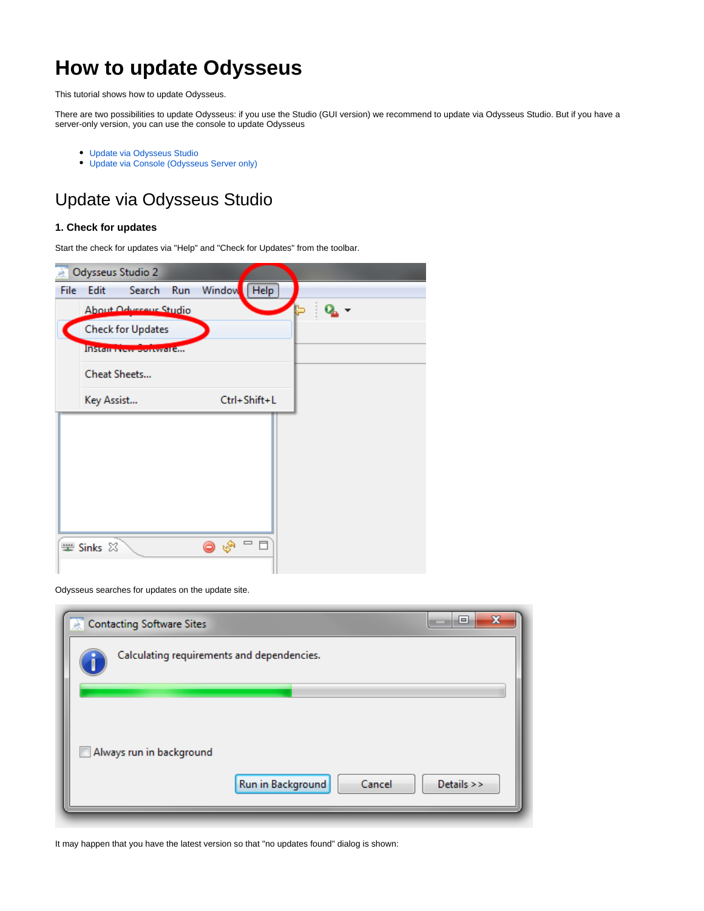# **How to update Odysseus**

This tutorial shows how to update Odysseus.

There are two possibilities to update Odysseus: if you use the Studio (GUI version) we recommend to update via Odysseus Studio. But if you have a server-only version, you can use the console to update Odysseus

- [Update via Odysseus Studio](#page-0-0)
- [Update via Console \(Odysseus Server only\)](#page-3-0)

## <span id="page-0-0"></span>Update via Odysseus Studio

#### **1. Check for updates**

Start the check for updates via "Help" and "Check for Updates" from the toolbar.

|      | Odysseus Studio 2              |                        |               |  |  |
|------|--------------------------------|------------------------|---------------|--|--|
| File | Edit<br>Search Run             |                        | Window   Help |  |  |
|      | About Odvereus Studio          |                        |               |  |  |
|      | <b>Check for Updates</b>       |                        |               |  |  |
|      | <b>INSTERNATION CONTRACTOR</b> |                        |               |  |  |
|      | Cheat Sheets                   |                        |               |  |  |
|      | Key Assist                     |                        | Ctrl+Shift+L  |  |  |
|      |                                |                        |               |  |  |
|      |                                |                        |               |  |  |
|      |                                |                        |               |  |  |
|      |                                |                        |               |  |  |
|      |                                |                        |               |  |  |
|      |                                |                        |               |  |  |
|      | 要 Sinks 83                     | <b>BR</b><br>$\bullet$ | ロ 日           |  |  |
|      |                                |                        |               |  |  |

#### Odysseus searches for updates on the update site.

| $\mathbf{x}$<br>▣<br><b>Contacting Software Sites</b> |  |
|-------------------------------------------------------|--|
| Calculating requirements and dependencies.            |  |
|                                                       |  |
|                                                       |  |
| Always run in background                              |  |
| Run in Background<br>Details $\gt$<br>Cancel          |  |
|                                                       |  |

#### It may happen that you have the latest version so that "no updates found" dialog is shown: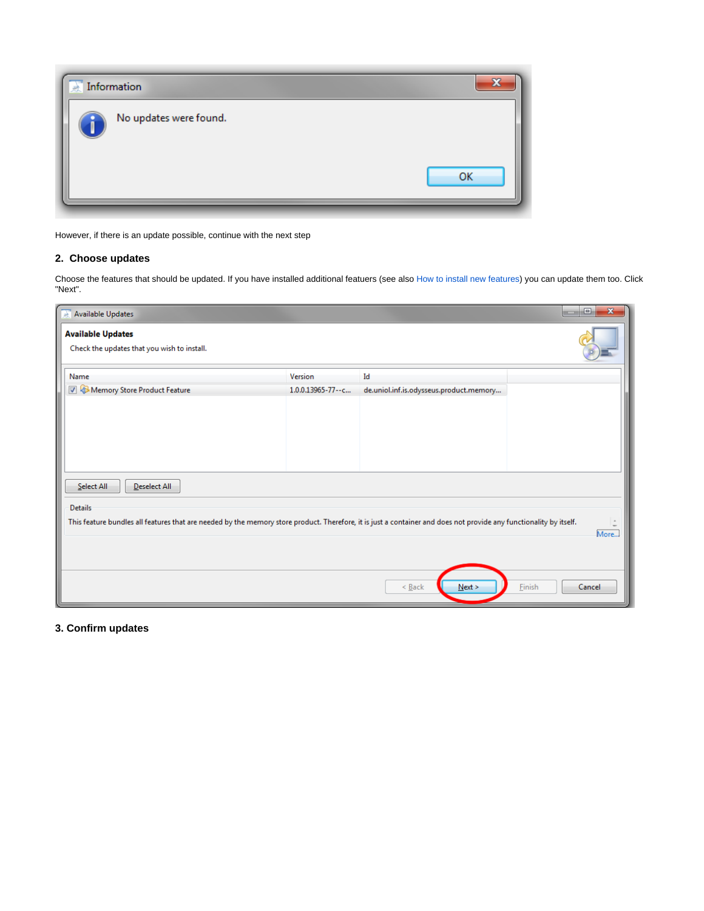| Đ. |
|----|
| OK |
|    |

However, if there is an update possible, continue with the next step

## **2. Choose updates**

Choose the features that should be updated. If you have installed additional featuers (see also [How to install new features\)](https://wiki.odysseus.informatik.uni-oldenburg.de/display/ODYSSEUS/How+to+install+new+features) you can update them too. Click "Next".

| Available Updates                                                                                                                                                  |                   |                                         | $\mathbf{x}$<br>$\Box$ |  |  |
|--------------------------------------------------------------------------------------------------------------------------------------------------------------------|-------------------|-----------------------------------------|------------------------|--|--|
| <b>Available Updates</b><br>Check the updates that you wish to install.                                                                                            |                   |                                         |                        |  |  |
| Name                                                                                                                                                               | Version           | Id                                      |                        |  |  |
| Memory Store Product Feature                                                                                                                                       | 1.0.0.13965-77--c | de.uniol.inf.is.odysseus.product.memory |                        |  |  |
|                                                                                                                                                                    |                   |                                         |                        |  |  |
| Select All<br>Deselect All                                                                                                                                         |                   |                                         |                        |  |  |
| <b>Details</b>                                                                                                                                                     |                   |                                         |                        |  |  |
| This feature bundles all features that are needed by the memory store product. Therefore, it is just a container and does not provide any functionality by itself. |                   |                                         | More                   |  |  |
|                                                                                                                                                                    |                   | Next ><br>$\leq$ Back                   | Einish<br>Cancel       |  |  |

## **3. Confirm updates**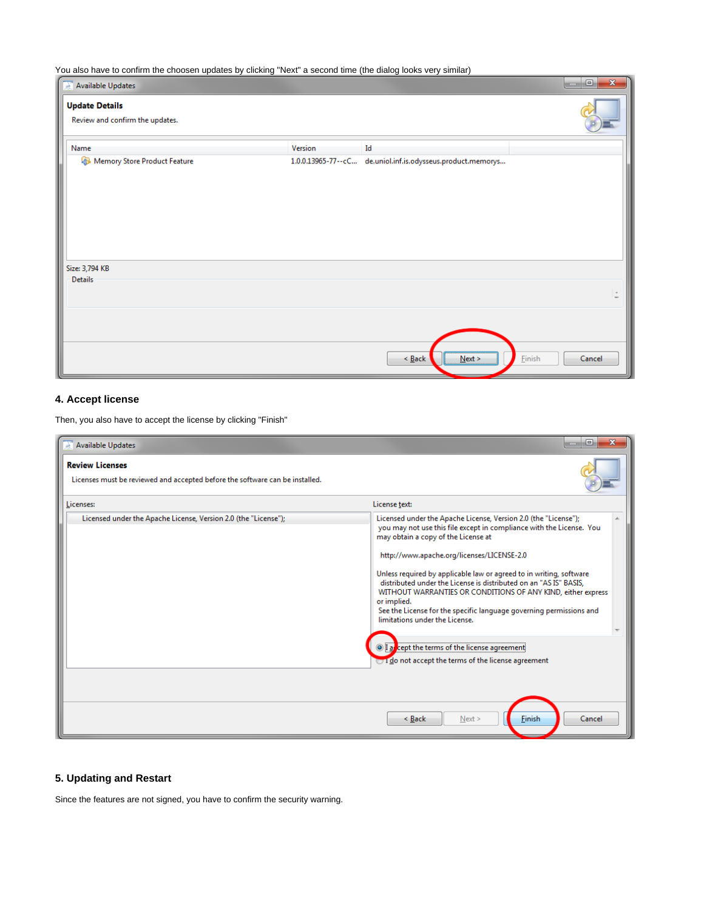You also have to confirm the choosen updates by clicking "Next" a second time (the dialog looks very similar)

| ⋍<br>$\mathbf{x}$<br>$\Box$<br>Available Updates<br><b>CONTRACTOR</b> |                    |                                          |                     |  |
|-----------------------------------------------------------------------|--------------------|------------------------------------------|---------------------|--|
| <b>Update Details</b><br>Review and confirm the updates.              |                    |                                          |                     |  |
| Name                                                                  | Version            | Id                                       |                     |  |
| Memory Store Product Feature                                          | 1.0.0.13965-77--cC | de.uniol.inf.is.odysseus.product.memorys |                     |  |
| Size: 3,794 KB<br>Details                                             |                    |                                          |                     |  |
|                                                                       |                    |                                          | $\hat{\phantom{a}}$ |  |
|                                                                       |                    | $\leq$ <u>B</u> ack<br>Next >            | Einish<br>Cancel    |  |

## **4. Accept license**

Then, you also have to accept the license by clicking "Finish"

| Available Updates<br><b>Review Licenses</b><br>Licenses must be reviewed and accepted before the software can be installed. | ⊟                                                                                                                                                                                                                                                                                                                                                                                                                                                                                                                                                                                                                                                                                   |
|-----------------------------------------------------------------------------------------------------------------------------|-------------------------------------------------------------------------------------------------------------------------------------------------------------------------------------------------------------------------------------------------------------------------------------------------------------------------------------------------------------------------------------------------------------------------------------------------------------------------------------------------------------------------------------------------------------------------------------------------------------------------------------------------------------------------------------|
| Licenses:                                                                                                                   | License text:                                                                                                                                                                                                                                                                                                                                                                                                                                                                                                                                                                                                                                                                       |
| Licensed under the Apache License, Version 2.0 (the "License");                                                             | Licensed under the Apache License, Version 2.0 (the "License");<br>you may not use this file except in compliance with the License. You<br>may obtain a copy of the License at<br>http://www.apache.org/licenses/LICENSE-2.0<br>Unless required by applicable law or agreed to in writing, software<br>distributed under the License is distributed on an "AS IS" BASIS,<br>WITHOUT WARRANTIES OR CONDITIONS OF ANY KIND, either express<br>or implied.<br>See the License for the specific language governing permissions and<br>limitations under the License.<br><sup>1</sup> a cept the terms of the license agreement<br>to I do not accept the terms of the license agreement |
|                                                                                                                             | Finish<br>Cancel<br>< Back<br>Next >                                                                                                                                                                                                                                                                                                                                                                                                                                                                                                                                                                                                                                                |

## **5. Updating and Restart**

Since the features are not signed, you have to confirm the security warning.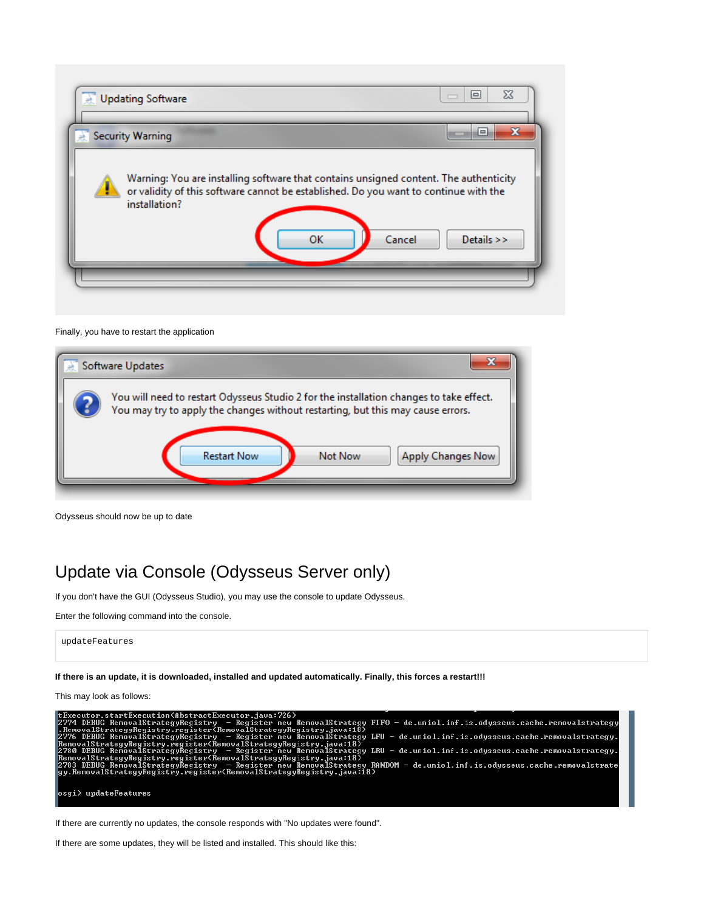

#### Finally, you have to restart the application



Odysseus should now be up to date

## <span id="page-3-0"></span>Update via Console (Odysseus Server only)

If you don't have the GUI (Odysseus Studio), you may use the console to update Odysseus.

```
Enter the following command into the console.
```

```
updateFeatures
```
**If there is an update, it is downloaded, installed and updated automatically. Finally, this forces a restart!!!**

This may look as follows:

| tExecutor.startExecution(AbstractExecutor.java:726)                                                                        |
|----------------------------------------------------------------------------------------------------------------------------|
| 2774 DEBUG RemovalStrategyRegistry - Register new RemovalStrategy FIFO - de.uniol.inf.is.odysseus.cache.removalstrategy    |
| $\blacksquare$ .RemovalStrategyRegistry.register(RemovalStrategyRegistry.java:18)                                          |
| 2776 DEBUG RemovalStrategyRegistry - Register new RemovalStrategy LFU - de.uniol.inf.is.odysseus.cache.removalstrategy.    |
| $\blacksquare$ RemovalStrategyRegistry.register(RemovalStrategyRegistry.java:18)                                           |
| 2780 DEBUG RemovalStrategyRegistry - Register new RemovalStrategy LRU - de.uniol.inf.is.odysseus.cache.removalstrategy.    |
| $\blacksquare$ RemovalStrategyRegistry.register(RemovalStrategyRegistry.java:18)                                           |
| 2783 DEBUG RemovalStrategyRegistry  — Register new RemovalStrategy RANDOM — de.uniol.inf.is.odysseus.cache.removalstrate « |
| gy.RemovalStrategyRegistry.register(RemovalStrategyRegistry.java:18)                                                       |
|                                                                                                                            |
|                                                                                                                            |
| $\ket{\text{osgi}}$ update Features                                                                                        |
|                                                                                                                            |

If there are currently no updates, the console responds with "No updates were found".

If there are some updates, they will be listed and installed. This should like this: